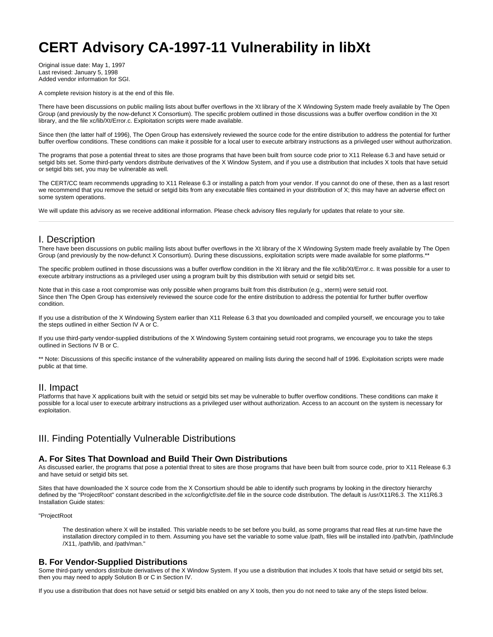# **CERT Advisory CA-1997-11 Vulnerability in libXt**

Original issue date: May 1, 1997 Last revised: January 5, 1998 Added vendor information for SGI.

A complete revision history is at the end of this file.

There have been discussions on public mailing lists about buffer overflows in the Xt library of the X Windowing System made freely available by The Open Group (and previously by the now-defunct X Consortium). The specific problem outlined in those discussions was a buffer overflow condition in the Xt library, and the file xc/lib/Xt/Error.c. Exploitation scripts were made available.

Since then (the latter half of 1996), The Open Group has extensively reviewed the source code for the entire distribution to address the potential for further buffer overflow conditions. These conditions can make it possible for a local user to execute arbitrary instructions as a privileged user without authorization.

The programs that pose a potential threat to sites are those programs that have been built from source code prior to X11 Release 6.3 and have setuid or setgid bits set. Some third-party vendors distribute derivatives of the X Window System, and if you use a distribution that includes X tools that have setuid or setgid bits set, you may be vulnerable as well.

The CERT/CC team recommends upgrading to X11 Release 6.3 or installing a patch from your vendor. If you cannot do one of these, then as a last resort we recommend that you remove the setuid or setgid bits from any executable files contained in your distribution of X; this may have an adverse effect on some system operations.

We will update this advisory as we receive additional information. Please check advisory files regularly for updates that relate to your site.

# I. Description

There have been discussions on public mailing lists about buffer overflows in the Xt library of the X Windowing System made freely available by The Open Group (and previously by the now-defunct X Consortium). During these discussions, exploitation scripts were made available for some platforms.\*\*

The specific problem outlined in those discussions was a buffer overflow condition in the Xt library and the file xc/lib/Xt/Error.c. It was possible for a user to execute arbitrary instructions as a privileged user using a program built by this distribution with setuid or setgid bits set.

Note that in this case a root compromise was only possible when programs built from this distribution (e.g., xterm) were setuid root. Since then The Open Group has extensively reviewed the source code for the entire distribution to address the potential for further buffer overflow condition.

If you use a distribution of the X Windowing System earlier than X11 Release 6.3 that you downloaded and compiled yourself, we encourage you to take the steps outlined in either Section IV A or C.

If you use third-party vendor-supplied distributions of the X Windowing System containing setuid root programs, we encourage you to take the steps outlined in Sections IV B or C.

\*\* Note: Discussions of this specific instance of the vulnerability appeared on mailing lists during the second half of 1996. Exploitation scripts were made public at that time.

# II. Impact

Platforms that have X applications built with the setuid or setgid bits set may be vulnerable to buffer overflow conditions. These conditions can make it possible for a local user to execute arbitrary instructions as a privileged user without authorization. Access to an account on the system is necessary for exploitation.

# III. Finding Potentially Vulnerable Distributions

#### **A. For Sites That Download and Build Their Own Distributions**

As discussed earlier, the programs that pose a potential threat to sites are those programs that have been built from source code, prior to X11 Release 6.3 and have setuid or setgid bits set.

Sites that have downloaded the X source code from the X Consortium should be able to identify such programs by looking in the directory hierarchy defined by the "ProjectRoot" constant described in the xc/config/cf/site.def file in the source code distribution. The default is /usr/X11R6.3. The X11R6.3 Installation Guide states:

#### "ProjectRoot

The destination where X will be installed. This variable needs to be set before you build, as some programs that read files at run-time have the installation directory compiled in to them. Assuming you have set the variable to some value /path, files will be installed into /path/bin, /path/include /X11, /path/lib, and /path/man."

# **B. For Vendor-Supplied Distributions**

Some third-party vendors distribute derivatives of the X Window System. If you use a distribution that includes X tools that have setuid or setgid bits set, then you may need to apply Solution B or C in Section IV.

If you use a distribution that does not have setuid or setgid bits enabled on any X tools, then you do not need to take any of the steps listed below.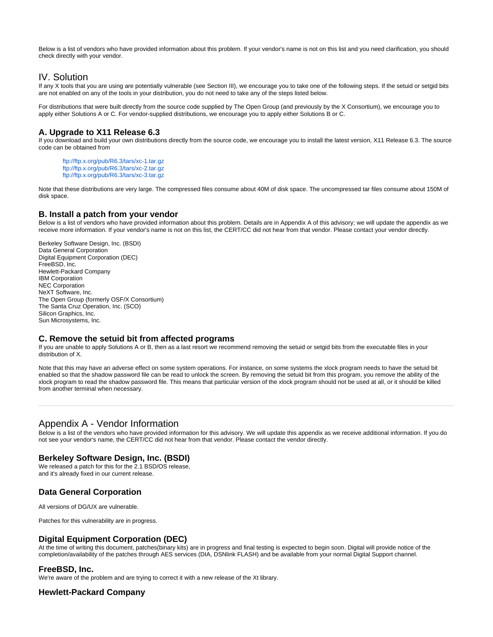Below is a list of vendors who have provided information about this problem. If your vendor's name is not on this list and you need clarification, you should check directly with your vendor.

# IV. Solution

If any X tools that you are using are potentially vulnerable (see Section III), we encourage you to take one of the following steps. If the setuid or setgid bits are not enabled on any of the tools in your distribution, you do not need to take any of the steps listed below.

For distributions that were built directly from the source code supplied by The Open Group (and previously by the X Consortium), we encourage you to apply either Solutions A or C. For vendor-supplied distributions, we encourage you to apply either Solutions B or C.

# **A. Upgrade to X11 Release 6.3**

If you download and build your own distributions directly from the source code, we encourage you to install the latest version, X11 Release 6.3. The source code can be obtained from

<ftp://ftp.x.org/pub/R6.3/tars/xc-1.tar.gz> <ftp://ftp.x.org/pub/R6.3/tars/xc-2.tar.gz> <ftp://ftp.x.org/pub/R6.3/tars/xc-3.tar.gz>

Note that these distributions are very large. The compressed files consume about 40M of disk space. The uncompressed tar files consume about 150M of disk space.

# **B. Install a patch from your vendor**

Below is a list of vendors who have provided information about this problem. Details are in Appendix A of this advisory; we will update the appendix as we receive more information. If your vendor's name is not on this list, the CERT/CC did not hear from that vendor. Please contact your vendor directly.

Berkeley Software Design, Inc. (BSDI) Data General Corporation Digital Equipment Corporation (DEC) FreeBSD, Inc. Hewlett-Packard Company IBM Corporation NEC Corporation NeXT Software, Inc. The Open Group (formerly OSF/X Consortium) The Santa Cruz Operation, Inc. (SCO) Silicon Graphics, Inc. Sun Microsystems, Inc.

# **C. Remove the setuid bit from affected programs**

If you are unable to apply Solutions A or B, then as a last resort we recommend removing the setuid or setgid bits from the executable files in your distribution of X.

Note that this may have an adverse effect on some system operations. For instance, on some systems the xlock program needs to have the setuid bit enabled so that the shadow password file can be read to unlock the screen. By removing the setuid bit from this program, you remove the ability of the xlock program to read the shadow password file. This means that particular version of the xlock program should not be used at all, or it should be killed from another terminal when necessary.

# Appendix A - Vendor Information

Below is a list of the vendors who have provided information for this advisory. We will update this appendix as we receive additional information. If you do not see your vendor's name, the CERT/CC did not hear from that vendor. Please contact the vendor directly.

# **Berkeley Software Design, Inc. (BSDI)**

We released a patch for this for the 2.1 BSD/OS release, and it's already fixed in our current release.

# **Data General Corporation**

All versions of DG/UX are vulnerable.

Patches for this vulnerability are in progress.

# **Digital Equipment Corporation (DEC)**

At the time of writing this document, patches(binary kits) are in progress and final testing is expected to begin soon. Digital will provide notice of the completion/availability of the patches through AES services (DIA, DSNlink FLASH) and be available from your normal Digital Support channel.

# **FreeBSD, Inc.**

We're aware of the problem and are trying to correct it with a new release of the Xt library.

# **Hewlett-Packard Company**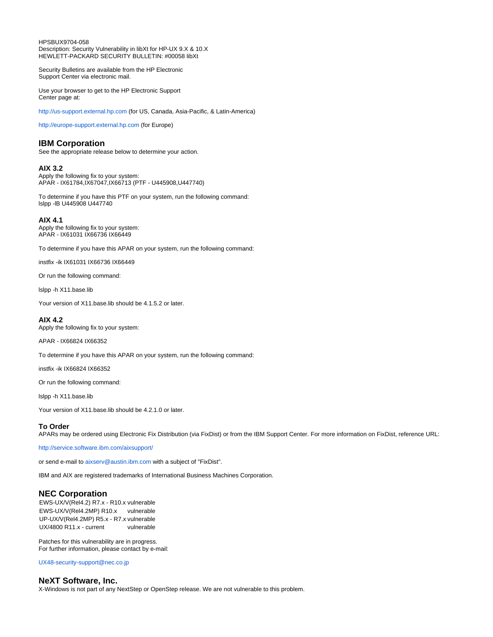HPSBUX9704-058 Description: Security Vulnerability in libXt for HP-UX 9.X & 10.X HEWLETT-PACKARD SECURITY BULLETIN: #00058 libXt

Security Bulletins are available from the HP Electronic Support Center via electronic mail.

Use your browser to get to the HP Electronic Support Center page at:

<http://us-support.external.hp.com>(for US, Canada, Asia-Pacific, & Latin-America)

<http://europe-support.external.hp.com> (for Europe)

# **IBM Corporation**

See the appropriate release below to determine your action.

#### **AIX 3.2**

Apply the following fix to your system: APAR - IX61784,IX67047,IX66713 (PTF - U445908,U447740)

To determine if you have this PTF on your system, run the following command: lslpp -lB U445908 U447740

#### **AIX 4.1**

Apply the following fix to your system: APAR - IX61031 IX66736 IX66449

To determine if you have this APAR on your system, run the following command:

instfix -ik IX61031 IX66736 IX66449

Or run the following command:

lslpp -h X11.base.lib

Your version of X11.base.lib should be 4.1.5.2 or later.

#### **AIX 4.2**

Apply the following fix to your system:

APAR - IX66824 IX66352

To determine if you have this APAR on your system, run the following command:

instfix -ik IX66824 IX66352

Or run the following command:

lslpp -h X11.base.lib

Your version of X11.base.lib should be 4.2.1.0 or later.

#### **To Order**

APARs may be ordered using Electronic Fix Distribution (via FixDist) or from the IBM Support Center. For more information on FixDist, reference URL:

<http://service.software.ibm.com/aixsupport/>

or send e-mail to [aixserv@austin.ibm.com](mailto:aixserv@austin.ibm.com) with a subject of "FixDist".

IBM and AIX are registered trademarks of International Business Machines Corporation.

# **NEC Corporation**

EWS-UX/V(Rel4.2) R7.x - R10.x vulnerable EWS-UX/V(Rel4.2MP) R10.x vulnerable UP-UX/V(Rel4.2MP) R5.x - R7.x vulnerable UX/4800 R11.x - current vulnerable

Patches for this vulnerability are in progress. For further information, please contact by e-mail:

[UX48-security-support@nec.co.jp](mailto:UX48-security-support@nec.co.jp)

# **NeXT Software, Inc.**

X-Windows is not part of any NextStep or OpenStep release. We are not vulnerable to this problem.